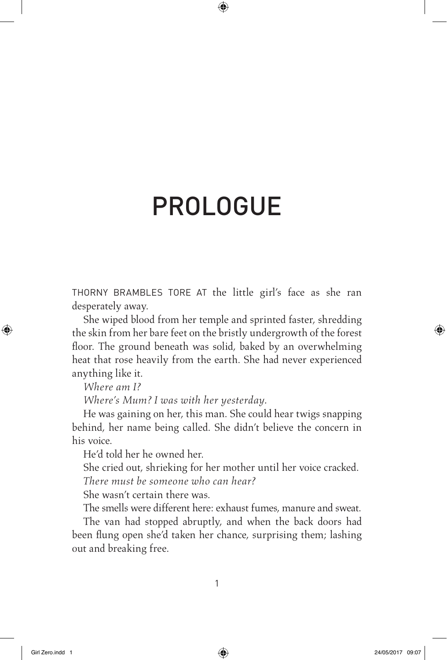## PROLOGUE

THORNY BRAMBLES TORE AT the little girl's face as she ran desperately away.

She wiped blood from her temple and sprinted faster, shredding the skin from her bare feet on the bristly undergrowth of the forest floor. The ground beneath was solid, baked by an overwhelming heat that rose heavily from the earth. She had never experienced anything like it.

*Where am I?*

*Where's Mum? I was with her yesterday.*

He was gaining on her, this man. She could hear twigs snapping behind, her name being called. She didn't believe the concern in his voice.

He'd told her he owned her.

She cried out, shrieking for her mother until her voice cracked. *There must be someone who can hear?*

She wasn't certain there was.

The smells were different here: exhaust fumes, manure and sweat.

The van had stopped abruptly, and when the back doors had been flung open she'd taken her chance, surprising them; lashing out and breaking free.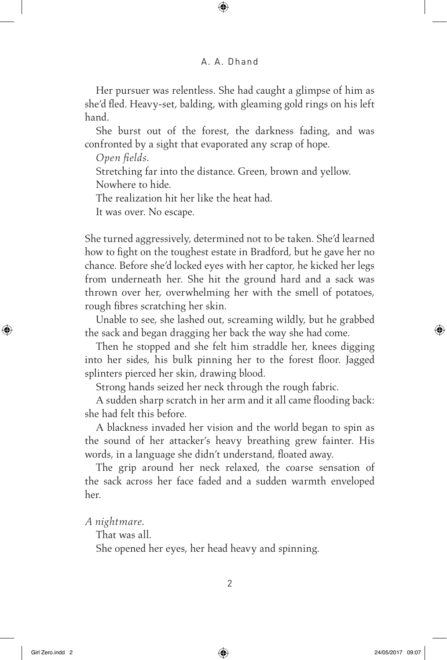Her pursuer was relentless. She had caught a glimpse of him as she'd fled. Heavy-set, balding, with gleaming gold rings on his left hand.

She burst out of the forest, the darkness fading, and was confronted by a sight that evaporated any scrap of hope.

*Open fields.*

Stretching far into the distance. Green, brown and yellow.

Nowhere to hide.

The realization hit her like the heat had.

It was over. No escape.

She turned aggressively, determined not to be taken. She'd learned how to fight on the toughest estate in Bradford, but he gave her no chance. Before she'd locked eyes with her captor, he kicked her legs from underneath her. She hit the ground hard and a sack was thrown over her, overwhelming her with the smell of potatoes, rough fibres scratching her skin.

Unable to see, she lashed out, screaming wildly, but he grabbed the sack and began dragging her back the way she had come.

Then he stopped and she felt him straddle her, knees digging into her sides, his bulk pinning her to the forest floor. Jagged splinters pierced her skin, drawing blood.

Strong hands seized her neck through the rough fabric.

A sudden sharp scratch in her arm and it all came flooding back: she had felt this before.

A blackness invaded her vision and the world began to spin as the sound of her attacker's heavy breathing grew fainter. His words, in a language she didn't understand, floated away.

The grip around her neck relaxed, the coarse sensation of the sack across her face faded and a sudden warmth enveloped her.

*A nightmare.*

That was all.

She opened her eyes, her head heavy and spinning.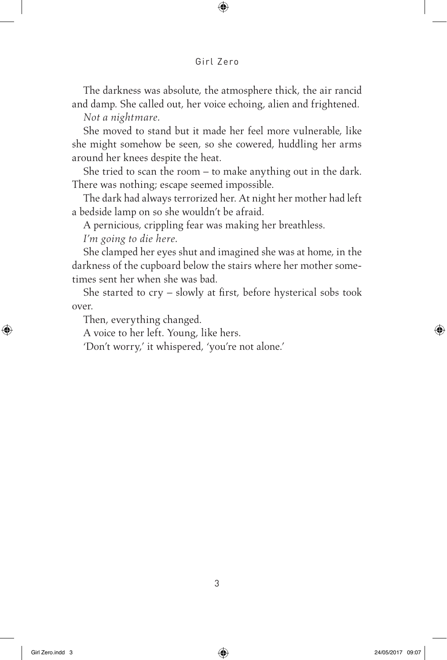The darkness was absolute, the atmosphere thick, the air rancid and damp. She called out, her voice echoing, alien and frightened.

*Not a nightmare.*

She moved to stand but it made her feel more vulnerable, like she might somehow be seen, so she cowered, huddling her arms around her knees despite the heat.

She tried to scan the room – to make anything out in the dark. There was nothing; escape seemed impossible.

The dark had always terrorized her. At night her mother had left a bedside lamp on so she wouldn't be afraid.

A pernicious, crippling fear was making her breathless.

*I'm going to die here.*

She clamped her eyes shut and imagined she was at home, in the darkness of the cupboard below the stairs where her mother sometimes sent her when she was bad.

She started to cry – slowly at first, before hysterical sobs took over.

Then, everything changed.

A voice to her left. Young, like hers.

'Don't worry,' it whispered, 'you're not alone.'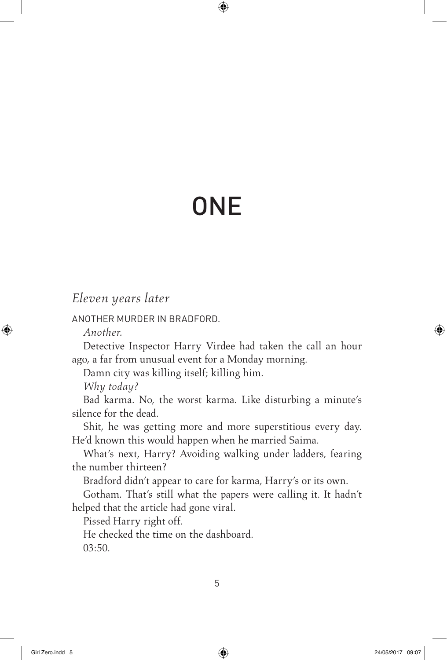# **ONE**

## *Eleven years later*

ANOTHER MURDER IN BRADFORD.

*Another.*

Detective Inspector Harry Virdee had taken the call an hour ago, a far from unusual event for a Monday morning.

Damn city was killing itself; killing him.

*Why today?*

Bad karma. No, the worst karma*.* Like disturbing a minute's silence for the dead.

Shit, he was getting more and more superstitious every day. He'd known this would happen when he married Saima.

What's next, Harry? Avoiding walking under ladders, fearing the number thirteen?

Bradford didn't appear to care for karma, Harry's or its own.

Gotham*.* That's still what the papers were calling it. It hadn't helped that the article had gone viral.

Pissed Harry right off.

He checked the time on the dashboard.

 $03:50.$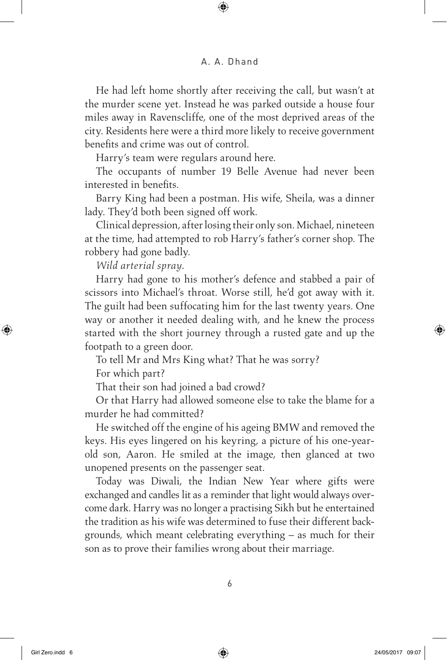He had left home shortly after receiving the call, but wasn't at the murder scene yet. Instead he was parked outside a house four miles away in Ravenscliffe, one of the most deprived areas of the city. Residents here were a third more likely to receive government benefits and crime was out of control.

Harry's team were regulars around here.

The occupants of number 19 Belle Avenue had never been interested in benefits.

Barry King had been a postman. His wife, Sheila, was a dinner lady. They'd both been signed off work.

Clinical depression, after losing their only son. Michael, nineteen at the time, had attempted to rob Harry's father's corner shop. The robbery had gone badly.

*Wild arterial spray.*

Harry had gone to his mother's defence and stabbed a pair of scissors into Michael's throat. Worse still, he'd got away with it. The guilt had been suffocating him for the last twenty years. One way or another it needed dealing with, and he knew the process started with the short journey through a rusted gate and up the footpath to a green door.

To tell Mr and Mrs King what? That he was sorry?

For which part?

That their son had joined a bad crowd?

Or that Harry had allowed someone else to take the blame for a murder he had committed?

He switched off the engine of his ageing BMW and removed the keys. His eyes lingered on his keyring, a picture of his one-yearold son, Aaron. He smiled at the image, then glanced at two unopened presents on the passenger seat.

Today was Diwali, the Indian New Year where gifts were exchanged and candles lit as a reminder that light would always overcome dark. Harry was no longer a practising Sikh but he entertained the tradition as his wife was determined to fuse their different backgrounds, which meant celebrating everything – as much for their son as to prove their families wrong about their marriage.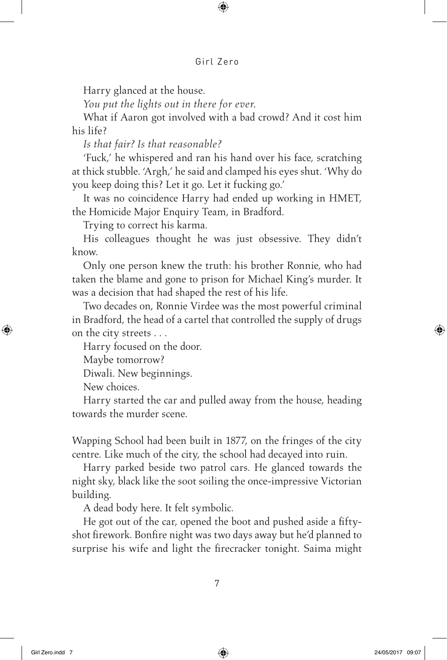Harry glanced at the house.

*You put the lights out in there for ever.*

What if Aaron got involved with a bad crowd? And it cost him his life?

*Is that fair? Is that reasonable?*

'Fuck,' he whispered and ran his hand over his face, scratching at thick stubble. 'Argh,' he said and clamped his eyes shut. 'Why do you keep doing this? Let it go. Let it fucking go.'

It was no coincidence Harry had ended up working in HMET, the Homicide Major Enquiry Team, in Bradford.

Trying to correct his karma.

His colleagues thought he was just obsessive. They didn't know.

Only one person knew the truth: his brother Ronnie, who had taken the blame and gone to prison for Michael King's murder. It was a decision that had shaped the rest of his life.

Two decades on, Ronnie Virdee was the most powerful criminal in Bradford, the head of a cartel that controlled the supply of drugs on the city streets . . .

Harry focused on the door.

Maybe tomorrow?

Diwali. New beginnings.

New choices.

Harry started the car and pulled away from the house, heading towards the murder scene.

Wapping School had been built in 1877, on the fringes of the city centre. Like much of the city, the school had decayed into ruin.

Harry parked beside two patrol cars. He glanced towards the night sky, black like the soot soiling the once-impressive Victorian building.

A dead body here. It felt symbolic.

He got out of the car, opened the boot and pushed aside a fiftyshot firework. Bonfire night was two days away but he'd planned to surprise his wife and light the firecracker tonight. Saima might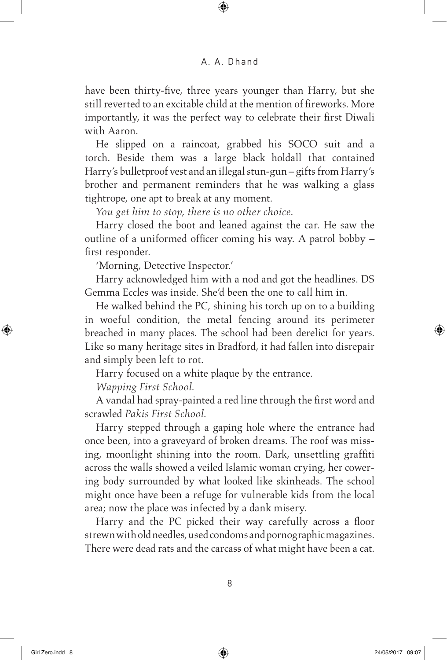have been thirty-five, three years younger than Harry, but she still reverted to an excitable child at the mention of fireworks. More importantly, it was the perfect way to celebrate their first Diwali with Aaron.

He slipped on a raincoat, grabbed his SOCO suit and a torch. Beside them was a large black holdall that contained Harry's bulletproof vest and an illegal stun-gun – gifts from Harry's brother and permanent reminders that he was walking a glass tightrope, one apt to break at any moment.

*You get him to stop, there is no other choice.*

Harry closed the boot and leaned against the car. He saw the outline of a uniformed officer coming his way. A patrol bobby – first responder.

'Morning, Detective Inspector.'

Harry acknowledged him with a nod and got the headlines. DS Gemma Eccles was inside. She'd been the one to call him in.

He walked behind the PC, shining his torch up on to a building in woeful condition, the metal fencing around its perimeter breached in many places. The school had been derelict for years. Like so many heritage sites in Bradford, it had fallen into disrepair and simply been left to rot.

Harry focused on a white plaque by the entrance.

*Wapping First School*.

A vandal had spray-painted a red line through the first word and scrawled *Pakis First School*.

Harry stepped through a gaping hole where the entrance had once been, into a graveyard of broken dreams. The roof was missing, moonlight shining into the room. Dark, unsettling graffiti across the walls showed a veiled Islamic woman crying, her cowering body surrounded by what looked like skinheads. The school might once have been a refuge for vulnerable kids from the local area; now the place was infected by a dank misery.

Harry and the PC picked their way carefully across a floor strewn with old needles, used condoms and pornographic magazines. There were dead rats and the carcass of what might have been a cat.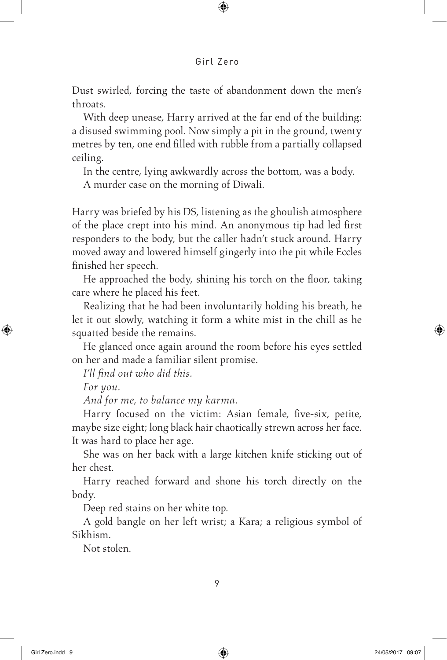Dust swirled, forcing the taste of abandonment down the men's throats.

With deep unease, Harry arrived at the far end of the building: a disused swimming pool. Now simply a pit in the ground, twenty metres by ten, one end filled with rubble from a partially collapsed ceiling.

In the centre, lying awkwardly across the bottom, was a body. A murder case on the morning of Diwali.

Harry was briefed by his DS, listening as the ghoulish atmosphere of the place crept into his mind. An anonymous tip had led first responders to the body, but the caller hadn't stuck around. Harry moved away and lowered himself gingerly into the pit while Eccles finished her speech.

He approached the body, shining his torch on the floor, taking care where he placed his feet.

Realizing that he had been involuntarily holding his breath, he let it out slowly, watching it form a white mist in the chill as he squatted beside the remains.

He glanced once again around the room before his eyes settled on her and made a familiar silent promise.

*I'll find out who did this.*

*For you.*

*And for me, to balance my karma.*

Harry focused on the victim: Asian female, five-six, petite, maybe size eight; long black hair chaotically strewn across her face. It was hard to place her age.

She was on her back with a large kitchen knife sticking out of her chest.

Harry reached forward and shone his torch directly on the body.

Deep red stains on her white top.

A gold bangle on her left wrist; a Kara; a religious symbol of Sikhism.

Not stolen.